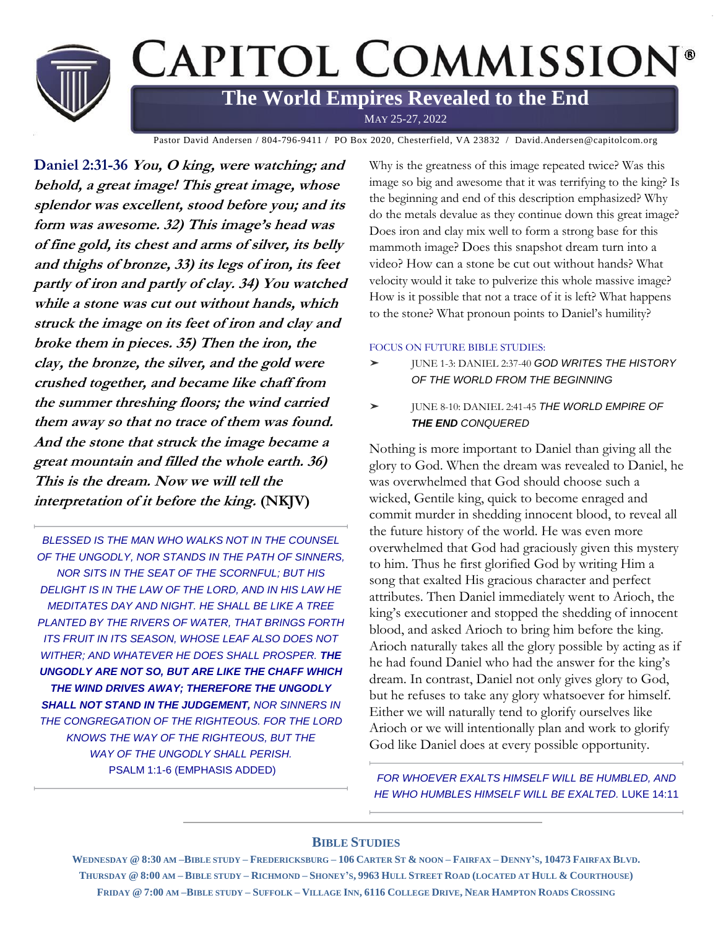

Pastor David Andersen / 804-796-9411 / PO Box 2020, Chesterfield, VA 23832 / David.Andersen@capitolcom.org

**Daniel 2:31-36 You, O king, were watching; and behold, a great image! This great image, whose splendor was excellent, stood before you; and its form was awesome. 32) This image's head was of fine gold, its chest and arms of silver, its belly and thighs of bronze, 33) its legs of iron, its feet partly of iron and partly of clay. 34) You watched while a stone was cut out without hands, which struck the image on its feet of iron and clay and broke them in pieces. 35) Then the iron, the clay, the bronze, the silver, and the gold were crushed together, and became like chaff from the summer threshing floors; the wind carried them away so that no trace of them was found. And the stone that struck the image became a great mountain and filled the whole earth. 36) This is the dream. Now we will tell the interpretation of it before the king. (NKJV)**

**BLESSED IS THE MAN WHO WALKS NOT IN THE COUNSEL** *OF THE UNGODLY, NOR STANDS IN THE PATH OF SINNERS, NOR SITS IN THE SEAT OF THE SCORNFUL; BUT HIS DELIGHT IS IN THE LAW OF THE LORD, AND IN HIS LAW HE MEDITATES DAY AND NIGHT. HE SHALL BE LIKE A TREE PLANTED BY THE RIVERS OF WATER, THAT BRINGS FORTH ITS FRUIT IN ITS SEASON, WHOSE LEAF ALSO DOES NOT WITHER; AND WHATEVER HE DOES SHALL PROSPER. THE UNGODLY ARE NOT SO, BUT ARE LIKE THE CHAFF WHICH THE WIND DRIVES AWAY; THEREFORE THE UNGODLY SHALL NOT STAND IN THE JUDGEMENT, NOR SINNERS IN*  **THE CONGREGATION OF THE RIGHTEOUS. FOR THE LORD** *KNOWS THE WAY OF THE RIGHTEOUS, BUT THE WAY OF THE UNGODLY SHALL PERISH.*  PSALM 1:1-6 (EMPHASIS ADDED)

Why is the greatness of this image repeated twice? Was this image so big and awesome that it was terrifying to the king? Is the beginning and end of this description emphasized? Why do the metals devalue as they continue down this great image? Does iron and clay mix well to form a strong base for this mammoth image? Does this snapshot dream turn into a video? How can a stone be cut out without hands? What velocity would it take to pulverize this whole massive image? How is it possible that not a trace of it is left? What happens to the stone? What pronoun points to Daniel's humility?

#### FOCUS ON FUTURE BIBLE STUDIES:

- ➤ JUNE 1-3: DANIEL 2:37-40 *GOD WRITES THE HISTORY OF THE WORLD FROM THE BEGINNING*
- ➤ JUNE 8-10: DANIEL 2:41-45 *THE WORLD EMPIRE OF THE END CONQUERED*

Nothing is more important to Daniel than giving all the glory to God. When the dream was revealed to Daniel, he was overwhelmed that God should choose such a wicked, Gentile king, quick to become enraged and commit murder in shedding innocent blood, to reveal all the future history of the world. He was even more overwhelmed that God had graciously given this mystery to him. Thus he first glorified God by writing Him a song that exalted His gracious character and perfect attributes. Then Daniel immediately went to Arioch, the king's executioner and stopped the shedding of innocent blood, and asked Arioch to bring him before the king. Arioch naturally takes all the glory possible by acting as if he had found Daniel who had the answer for the king's dream. In contrast, Daniel not only gives glory to God, but he refuses to take any glory whatsoever for himself. Either we will naturally tend to glorify ourselves like Arioch or we will intentionally plan and work to glorify God like Daniel does at every possible opportunity.

**FOR WHOEVER EXALTS HIMSELF WILL BE HUMBLED, AND** *HE WHO HUMBLES HIMSELF WILL BE EXALTED.* LUKE 14:11

#### **BIBLE STUDIES**

WEDNESDAY @ 8:30 AM-BIBLE STUDY-FREDERICKSBURG-106 CARTER ST & NOON-FAIRFAX-DENNY'S, 10473 FAIRFAX BLVD. THURSDAY @ 8:00 AM - BIBLE STUDY - RICHMOND - SHONEY'S, 9963 HULL STREET ROAD (LOCATED AT HULL & COURTHOUSE) FRIDAY @ 7:00 AM-BIBLE STUDY-SUFFOLK-VILLAGE INN, 6116 COLLEGE DRIVE, NEAR HAMPTON ROADS CROSSING